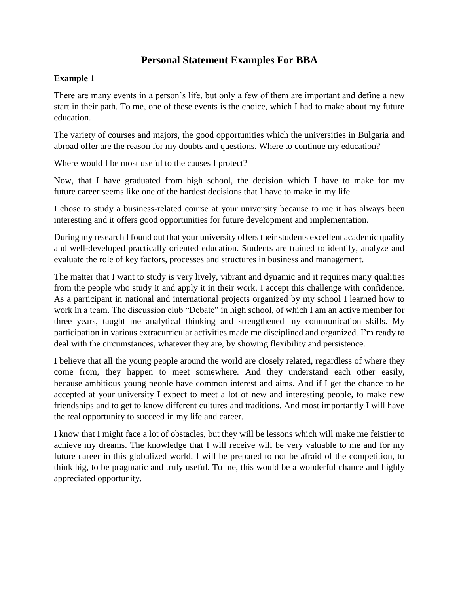## **Personal Statement Examples For BBA**

## **Example 1**

There are many events in a person's life, but only a few of them are important and define a new start in their path. To me, one of these events is the choice, which I had to make about my future education.

The variety of courses and majors, the good opportunities which the universities in Bulgaria and abroad offer are the reason for my doubts and questions. Where to continue my education?

Where would I be most useful to the causes I protect?

Now, that I have graduated from high school, the decision which I have to make for my future career seems like one of the hardest decisions that I have to make in my life.

I chose to study a business-related course at your university because to me it has always been interesting and it offers good opportunities for future development and implementation.

During my research I found out that your university offers their students excellent academic quality and well-developed practically oriented education. Students are trained to identify, analyze and evaluate the role of key factors, processes and structures in business and management.

The matter that I want to study is very lively, vibrant and dynamic and it requires many qualities from the people who study it and apply it in their work. I accept this challenge with confidence. As a participant in national and international projects organized by my school I learned how to work in a team. The discussion club "Debate" in high school, of which I am an active member for three years, taught me analytical thinking and strengthened my communication skills. My participation in various extracurricular activities made me disciplined and organized. I'm ready to deal with the circumstances, whatever they are, by showing flexibility and persistence.

I believe that all the young people around the world are closely related, regardless of where they come from, they happen to meet somewhere. And they understand each other easily, because ambitious young people have common interest and aims. And if I get the chance to be accepted at your university I expect to meet a lot of new and interesting people, to make new friendships and to get to know different cultures and traditions. And most importantly I will have the real opportunity to succeed in my life and career.

I know that I might face a lot of obstacles, but they will be lessons which will make me feistier to achieve my dreams. The knowledge that I will receive will be very valuable to me and for my future career in this globalized world. I will be prepared to not be afraid of the competition, to think big, to be pragmatic and truly useful. To me, this would be a wonderful chance and highly appreciated opportunity.